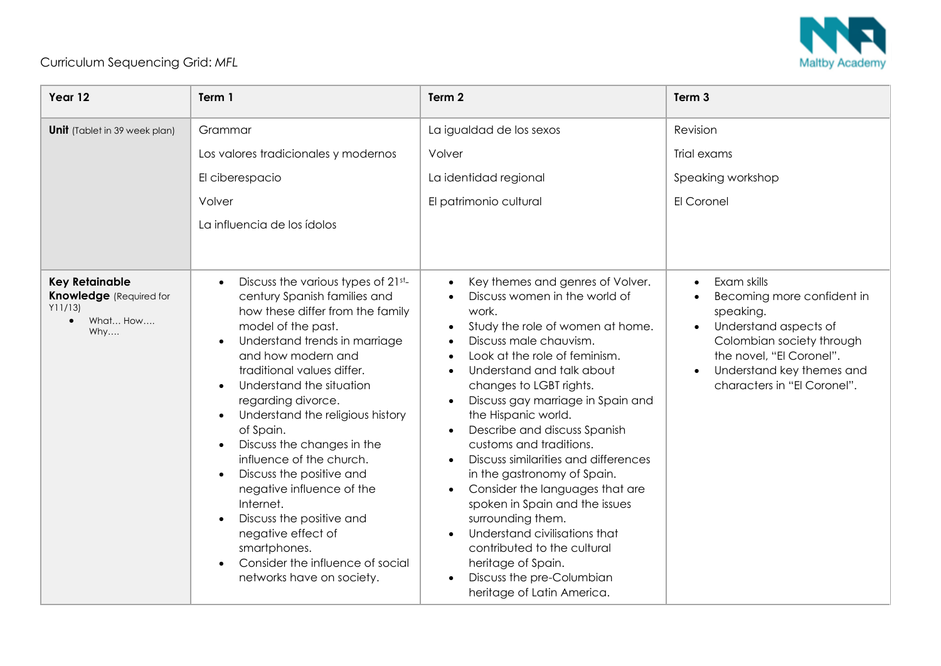

## Curriculum Sequencing Grid: *MFL*

| Year 12                                                                                           | Term 1                                                                                                                                                                                                                                                                                                                                                                                                                                                                                                                                                                                                                         | Term 2                                                                                                                                                                                                                                                                                                                                                                                                                                                                                                                                                                                                                                                                     | Term <sub>3</sub>                                                                                                                                                                                                                           |
|---------------------------------------------------------------------------------------------------|--------------------------------------------------------------------------------------------------------------------------------------------------------------------------------------------------------------------------------------------------------------------------------------------------------------------------------------------------------------------------------------------------------------------------------------------------------------------------------------------------------------------------------------------------------------------------------------------------------------------------------|----------------------------------------------------------------------------------------------------------------------------------------------------------------------------------------------------------------------------------------------------------------------------------------------------------------------------------------------------------------------------------------------------------------------------------------------------------------------------------------------------------------------------------------------------------------------------------------------------------------------------------------------------------------------------|---------------------------------------------------------------------------------------------------------------------------------------------------------------------------------------------------------------------------------------------|
| <b>Unit</b> (Tablet in 39 week plan)                                                              | Grammar<br>Los valores tradicionales y modernos<br>El ciberespacio<br>Volver<br>La influencia de los ídolos                                                                                                                                                                                                                                                                                                                                                                                                                                                                                                                    | La igualdad de los sexos<br>Volver<br>La identidad regional<br>El patrimonio cultural                                                                                                                                                                                                                                                                                                                                                                                                                                                                                                                                                                                      | Revision<br>Trial exams<br>Speaking workshop<br>El Coronel                                                                                                                                                                                  |
| <b>Key Retainable</b><br><b>Knowledge</b> (Required for<br>Y11/13<br>What How<br>$\bullet$<br>Why | Discuss the various types of 21st-<br>$\bullet$<br>century Spanish families and<br>how these differ from the family<br>model of the past.<br>Understand trends in marriage<br>and how modern and<br>traditional values differ.<br>Understand the situation<br>$\bullet$<br>regarding divorce.<br>Understand the religious history<br>of Spain.<br>Discuss the changes in the<br>influence of the church.<br>Discuss the positive and<br>$\bullet$<br>negative influence of the<br>Internet.<br>Discuss the positive and<br>negative effect of<br>smartphones.<br>Consider the influence of social<br>networks have on society. | Key themes and genres of Volver.<br>Discuss women in the world of<br>work.<br>Study the role of women at home.<br>Discuss male chauvism.<br>Look at the role of feminism.<br>Understand and talk about<br>changes to LGBT rights.<br>Discuss gay marriage in Spain and<br>the Hispanic world.<br>Describe and discuss Spanish<br>customs and traditions.<br>Discuss similarities and differences<br>in the gastronomy of Spain.<br>Consider the languages that are<br>spoken in Spain and the issues<br>surrounding them.<br>Understand civilisations that<br>contributed to the cultural<br>heritage of Spain.<br>Discuss the pre-Columbian<br>heritage of Latin America. | Exam skills<br>$\bullet$<br>Becoming more confident in<br>$\bullet$<br>speaking.<br>Understand aspects of<br>$\bullet$<br>Colombian society through<br>the novel, "El Coronel".<br>Understand key themes and<br>characters in "El Coronel". |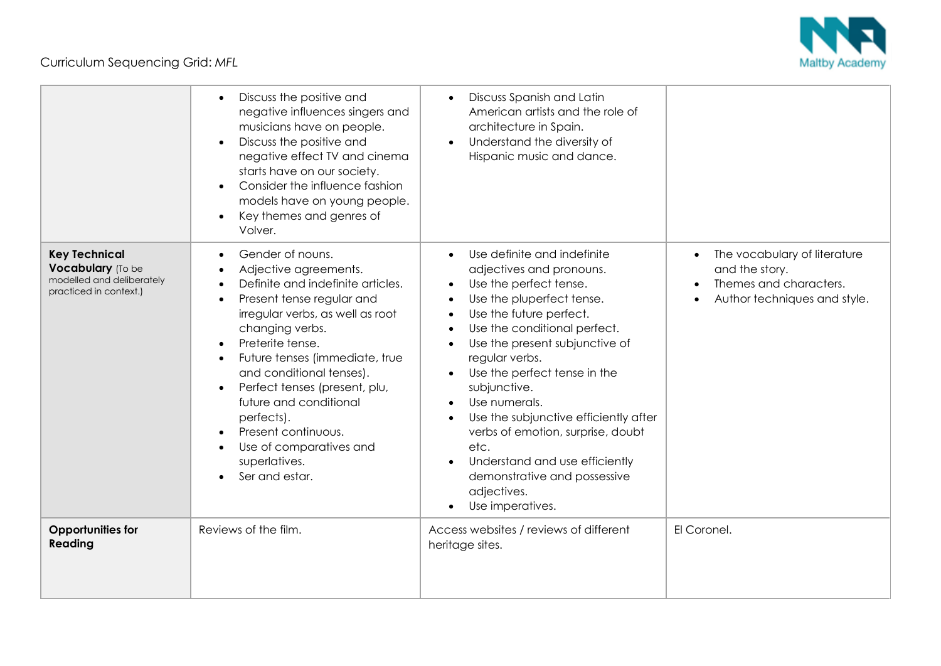Curriculum Sequencing Grid: *MFL*



|                                                                                                  | Discuss the positive and<br>negative influences singers and<br>musicians have on people.<br>Discuss the positive and<br>negative effect TV and cinema<br>starts have on our society.<br>Consider the influence fashion<br>models have on young people.<br>Key themes and genres of<br>Volver.                                                                                                                      | Discuss Spanish and Latin<br>American artists and the role of<br>architecture in Spain.<br>Understand the diversity of<br>$\bullet$<br>Hispanic music and dance.                                                                                                                                                                                                                                                                                                                                       |                                                                                                                                    |
|--------------------------------------------------------------------------------------------------|--------------------------------------------------------------------------------------------------------------------------------------------------------------------------------------------------------------------------------------------------------------------------------------------------------------------------------------------------------------------------------------------------------------------|--------------------------------------------------------------------------------------------------------------------------------------------------------------------------------------------------------------------------------------------------------------------------------------------------------------------------------------------------------------------------------------------------------------------------------------------------------------------------------------------------------|------------------------------------------------------------------------------------------------------------------------------------|
| <b>Key Technical</b><br>Vocabulary (To be<br>modelled and deliberately<br>practiced in context.) | Gender of nouns.<br>Adjective agreements.<br>Definite and indefinite articles.<br>Present tense regular and<br>irregular verbs, as well as root<br>changing verbs.<br>Preterite tense.<br>Future tenses (immediate, true<br>and conditional tenses).<br>Perfect tenses (present, plu,<br>future and conditional<br>perfects).<br>Present continuous.<br>Use of comparatives and<br>superlatives.<br>Ser and estar. | Use definite and indefinite<br>adjectives and pronouns.<br>Use the perfect tense.<br>Use the pluperfect tense.<br>Use the future perfect.<br>Use the conditional perfect.<br>Use the present subjunctive of<br>regular verbs.<br>Use the perfect tense in the<br>subjunctive.<br>Use numerals.<br>$\bullet$<br>Use the subjunctive efficiently after<br>verbs of emotion, surprise, doubt<br>etc.<br>Understand and use efficiently<br>demonstrative and possessive<br>adjectives.<br>Use imperatives. | The vocabulary of literature<br>$\bullet$<br>and the story.<br>Themes and characters.<br>$\bullet$<br>Author techniques and style. |
| <b>Opportunities for</b><br>Reading                                                              | Reviews of the film.                                                                                                                                                                                                                                                                                                                                                                                               | Access websites / reviews of different<br>heritage sites.                                                                                                                                                                                                                                                                                                                                                                                                                                              | El Coronel.                                                                                                                        |